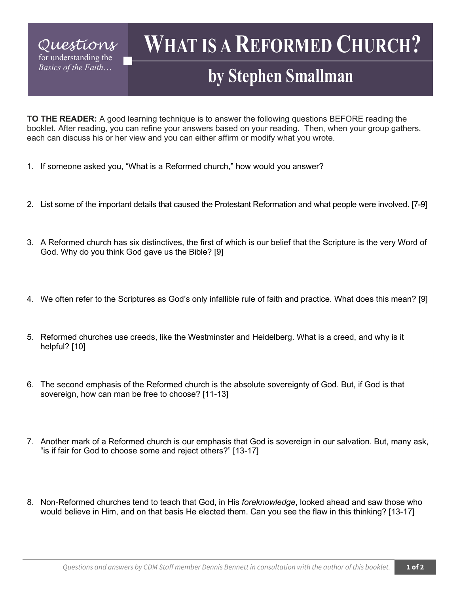## **WHAT IS A REFORMED CHURCH?**

## **by Stephen Smallman**

**TO THE READER:** A good learning technique is to answer the following questions BEFORE reading the booklet. After reading, you can refine your answers based on your reading. Then, when your group gathers, each can discuss his or her view and you can either affirm or modify what you wrote.

- 1. If someone asked you, "What is a Reformed church," how would you answer?
- 2. List some of the important details that caused the Protestant Reformation and what people were involved. [7-9]
- 3. A Reformed church has six distinctives, the first of which is our belief that the Scripture is the very Word of God. Why do you think God gave us the Bible? [9]
- 4. We often refer to the Scriptures as God's only infallible rule of faith and practice. What does this mean? [9]
- 5. Reformed churches use creeds, like the Westminster and Heidelberg. What is a creed, and why is it helpful? [10]
- 6. The second emphasis of the Reformed church is the absolute sovereignty of God. But, if God is that sovereign, how can man be free to choose? [11-13]
- 7. Another mark of a Reformed church is our emphasis that God is sovereign in our salvation. But, many ask, "is if fair for God to choose some and reject others?" [13-17]
- 8. Non-Reformed churches tend to teach that God, in His *foreknowledge*, looked ahead and saw those who would believe in Him, and on that basis He elected them. Can you see the flaw in this thinking? [13-17]